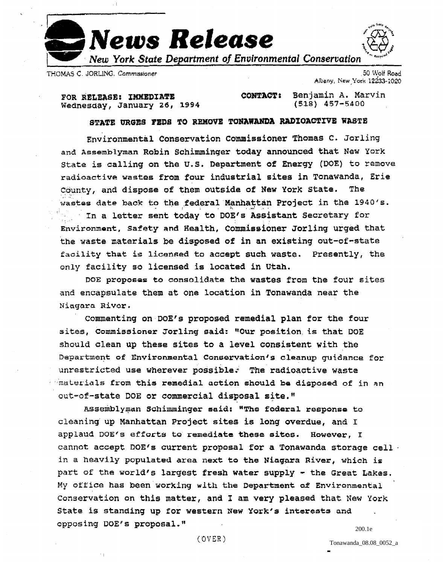

THOMAS C. JORLING, Commissioner

50 Wolf Road Albany, New York 12233-1020

FOR RELEASE: IMMEDIATE Wednesday, January 26, 1994

Benjamin A. Marvin **CONTACT:**  $(518)$   $457 - 5400$ 

## STATE URGES FEDS TO REMOVE TONAWANDA RADIOACTIVE WASTE

Environmental Conservation Commissioner Thomas C. Jorling and Assemblyman Robin Schimminger today announced that New York State is calling on the U.S. Department of Energy (DOE) to remove radioactive wastes from four industrial sites in Tonawanda, Erie County, and dispose of them outside of New York State. The wastes date back to the federal Manhattan Project in the 1940's. In a letter sent today to DOE's Assistant Secretary for Environment, Safety and Health, Commissioner Jorling urged that the waste materials be disposed of in an existing out-of-state facility that is licensed to accept such waste. Presently, the only facility so licensed is located in Utah.

DOE proposes to consolidate the wastes from the four sites and encapsulate them at one location in Tonawanda near the Niagara Rivor.

Commenting on DOE's proposed remedial plan for the four sites, Commissioner Jorling said: "Our position is that DOE should clean up these sites to a level consistent with the Department of Environmental Conservation's cleanup guidance for unrestricted use wherever possible. The radioactive waste materials from this remedial action should be disposed of in an out-of-state DOE or commercial disposal site."

Assemblyman Schimminger said: "The federal response to cleaning up Manhattan Project sites is long overdue, and I applaud DOE's efforts to remediate these sites. However, I cannot accept DOE's current proposal for a Tonawanda storage cell . in a heavily populated area next to the Niagara River, which is part of the world's largest fresh water supply - the Great Lakes. My office has been working with the Department of Environmental Conservation on this matter, and I am very pleased that New York State is standing up for western New York's interests and opposing DOE's proposal." 200.1e